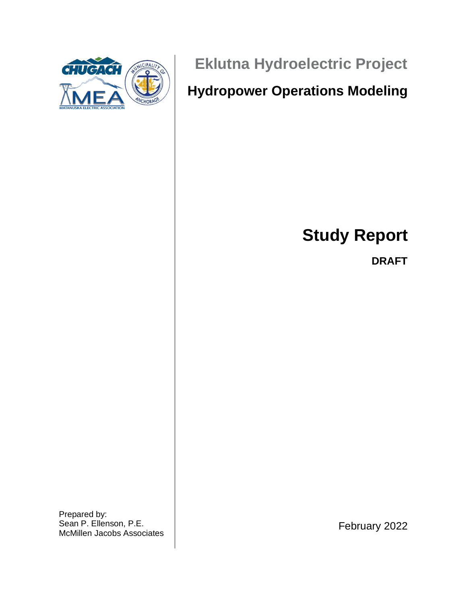

**Eklutna Hydroelectric Project**

## **Hydropower Operations Modeling**

# **Study Report**

**DRAFT**

Prepared by: Sean P. Ellenson, P.E. McMillen Jacobs Associates

February 2022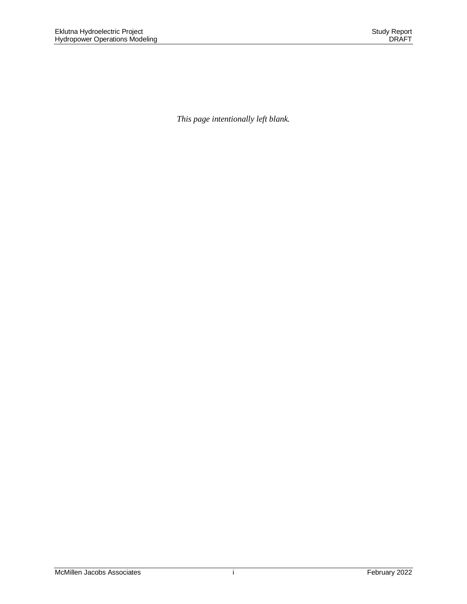*This page intentionally left blank.*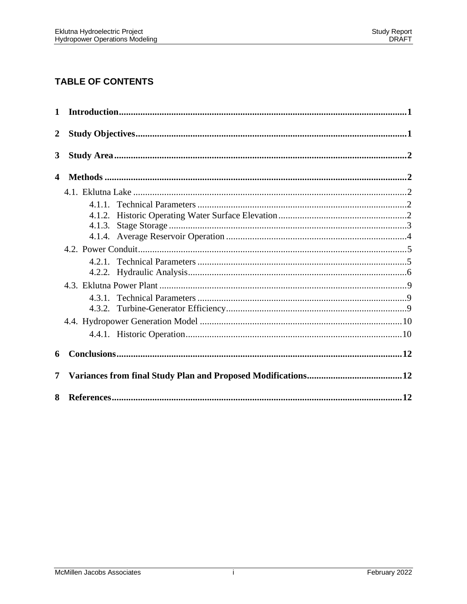## **TABLE OF CONTENTS**

| $\mathbf{1}$     | Introduction 1 |  |  |  |  |  |  |  |
|------------------|----------------|--|--|--|--|--|--|--|
| $\boldsymbol{2}$ |                |  |  |  |  |  |  |  |
| 3                |                |  |  |  |  |  |  |  |
| 4                |                |  |  |  |  |  |  |  |
|                  |                |  |  |  |  |  |  |  |
|                  |                |  |  |  |  |  |  |  |
|                  | 4.1.2.         |  |  |  |  |  |  |  |
|                  |                |  |  |  |  |  |  |  |
|                  |                |  |  |  |  |  |  |  |
|                  |                |  |  |  |  |  |  |  |
|                  |                |  |  |  |  |  |  |  |
|                  |                |  |  |  |  |  |  |  |
|                  |                |  |  |  |  |  |  |  |
|                  |                |  |  |  |  |  |  |  |
|                  |                |  |  |  |  |  |  |  |
|                  |                |  |  |  |  |  |  |  |
| 6                |                |  |  |  |  |  |  |  |
|                  |                |  |  |  |  |  |  |  |
| 8                |                |  |  |  |  |  |  |  |

Ť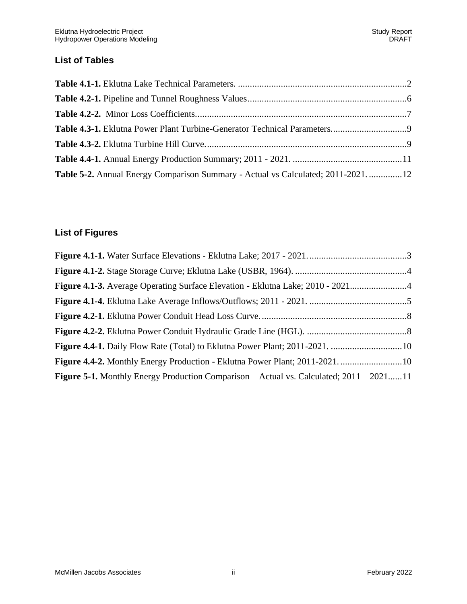## **List of Tables**

| Table 5-2. Annual Energy Comparison Summary - Actual vs Calculated; 2011-202112 |  |
|---------------------------------------------------------------------------------|--|

## **List of Figures**

| Figure 4.1-3. Average Operating Surface Elevation - Eklutna Lake; 2010 - 2021                     |  |
|---------------------------------------------------------------------------------------------------|--|
|                                                                                                   |  |
|                                                                                                   |  |
|                                                                                                   |  |
|                                                                                                   |  |
|                                                                                                   |  |
| <b>Figure 5-1.</b> Monthly Energy Production Comparison – Actual vs. Calculated; $2011 - 2021$ 11 |  |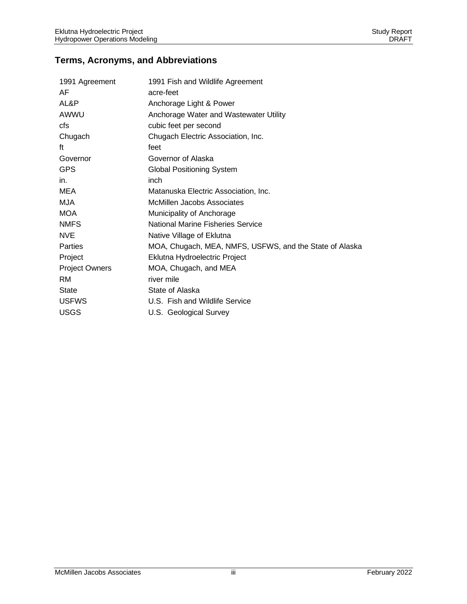## **Terms, Acronyms, and Abbreviations**

| 1991 Agreement        | 1991 Fish and Wildlife Agreement                        |
|-----------------------|---------------------------------------------------------|
| AF                    | acre-feet                                               |
| AL&P                  | Anchorage Light & Power                                 |
| AWWU                  | Anchorage Water and Wastewater Utility                  |
| cfs                   | cubic feet per second                                   |
| Chugach               | Chugach Electric Association, Inc.                      |
| ft                    | feet                                                    |
| Governor              | Governor of Alaska                                      |
| <b>GPS</b>            | <b>Global Positioning System</b>                        |
| in.                   | inch                                                    |
| <b>MEA</b>            | Matanuska Electric Association, Inc.                    |
| MJA                   | McMillen Jacobs Associates                              |
| <b>MOA</b>            | Municipality of Anchorage                               |
| <b>NMFS</b>           | National Marine Fisheries Service                       |
| <b>NVE</b>            | Native Village of Eklutna                               |
| Parties               | MOA, Chugach, MEA, NMFS, USFWS, and the State of Alaska |
| Project               | Eklutna Hydroelectric Project                           |
| <b>Project Owners</b> | MOA, Chugach, and MEA                                   |
| <b>RM</b>             | river mile                                              |
| <b>State</b>          | State of Alaska                                         |
| <b>USFWS</b>          | U.S. Fish and Wildlife Service                          |
| <b>USGS</b>           | U.S. Geological Survey                                  |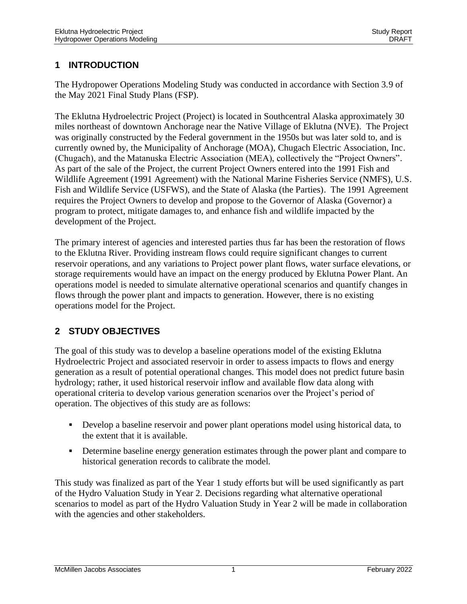## <span id="page-5-0"></span>**1 INTRODUCTION**

The Hydropower Operations Modeling Study was conducted in accordance with Section 3.9 of the May 2021 Final Study Plans (FSP).

The Eklutna Hydroelectric Project (Project) is located in Southcentral Alaska approximately 30 miles northeast of downtown Anchorage near the Native Village of Eklutna (NVE). The Project was originally constructed by the Federal government in the 1950s but was later sold to, and is currently owned by, the Municipality of Anchorage (MOA), Chugach Electric Association, Inc. (Chugach), and the Matanuska Electric Association (MEA), collectively the "Project Owners". As part of the sale of the Project, the current Project Owners entered into the 1991 Fish and Wildlife Agreement (1991 Agreement) with the National Marine Fisheries Service (NMFS), U.S. Fish and Wildlife Service (USFWS), and the State of Alaska (the Parties). The 1991 Agreement requires the Project Owners to develop and propose to the Governor of Alaska (Governor) a program to protect, mitigate damages to, and enhance fish and wildlife impacted by the development of the Project.

The primary interest of agencies and interested parties thus far has been the restoration of flows to the Eklutna River. Providing instream flows could require significant changes to current reservoir operations, and any variations to Project power plant flows, water surface elevations, or storage requirements would have an impact on the energy produced by Eklutna Power Plant. An operations model is needed to simulate alternative operational scenarios and quantify changes in flows through the power plant and impacts to generation. However, there is no existing operations model for the Project.

## <span id="page-5-1"></span>**2 STUDY OBJECTIVES**

The goal of this study was to develop a baseline operations model of the existing Eklutna Hydroelectric Project and associated reservoir in order to assess impacts to flows and energy generation as a result of potential operational changes. This model does not predict future basin hydrology; rather, it used historical reservoir inflow and available flow data along with operational criteria to develop various generation scenarios over the Project's period of operation. The objectives of this study are as follows:

- Develop a baseline reservoir and power plant operations model using historical data, to the extent that it is available.
- **•** Determine baseline energy generation estimates through the power plant and compare to historical generation records to calibrate the model.

This study was finalized as part of the Year 1 study efforts but will be used significantly as part of the Hydro Valuation Study in Year 2. Decisions regarding what alternative operational scenarios to model as part of the Hydro Valuation Study in Year 2 will be made in collaboration with the agencies and other stakeholders.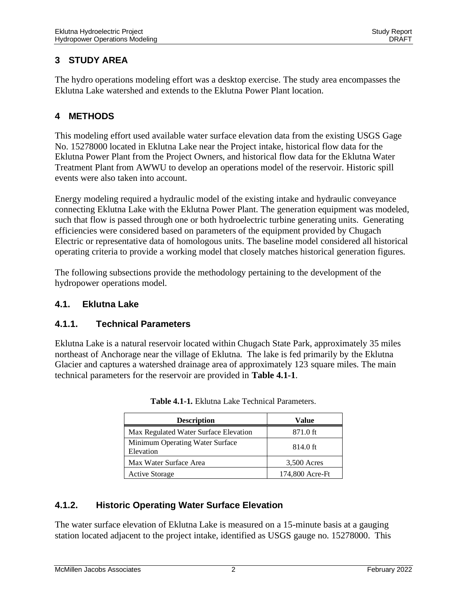## <span id="page-6-0"></span>**3 STUDY AREA**

The hydro operations modeling effort was a desktop exercise. The study area encompasses the Eklutna Lake watershed and extends to the Eklutna Power Plant location.

## <span id="page-6-1"></span>**4 METHODS**

This modeling effort used available water surface elevation data from the existing USGS Gage No. 15278000 located in Eklutna Lake near the Project intake, historical flow data for the Eklutna Power Plant from the Project Owners, and historical flow data for the Eklutna Water Treatment Plant from AWWU to develop an operations model of the reservoir. Historic spill events were also taken into account.

Energy modeling required a hydraulic model of the existing intake and hydraulic conveyance connecting Eklutna Lake with the Eklutna Power Plant. The generation equipment was modeled, such that flow is passed through one or both hydroelectric turbine generating units. Generating efficiencies were considered based on parameters of the equipment provided by Chugach Electric or representative data of homologous units. The baseline model considered all historical operating criteria to provide a working model that closely matches historical generation figures.

The following subsections provide the methodology pertaining to the development of the hydropower operations model.

#### <span id="page-6-2"></span>**4.1. Eklutna Lake**

#### <span id="page-6-3"></span>**4.1.1. Technical Parameters**

<span id="page-6-5"></span>Eklutna Lake is a natural reservoir located within Chugach State Park, approximately 35 miles northeast of Anchorage near the village of Eklutna. The lake is fed primarily by the Eklutna Glacier and captures a watershed drainage area of approximately 123 square miles. The main technical parameters for the reservoir are provided in **[Table 4.1-1](#page-6-5)**.

| <b>Description</b>                           | Value           |
|----------------------------------------------|-----------------|
| Max Regulated Water Surface Elevation        | 871.0 ft        |
| Minimum Operating Water Surface<br>Elevation | 814.0 ft        |
| Max Water Surface Area                       | 3,500 Acres     |
| <b>Active Storage</b>                        | 174,800 Acre-Ft |

**Table 4.1-1.** Eklutna Lake Technical Parameters.

#### <span id="page-6-4"></span>**4.1.2. Historic Operating Water Surface Elevation**

The water surface elevation of Eklutna Lake is measured on a 15-minute basis at a gauging station located adjacent to the project intake, identified as USGS gauge no. 15278000. This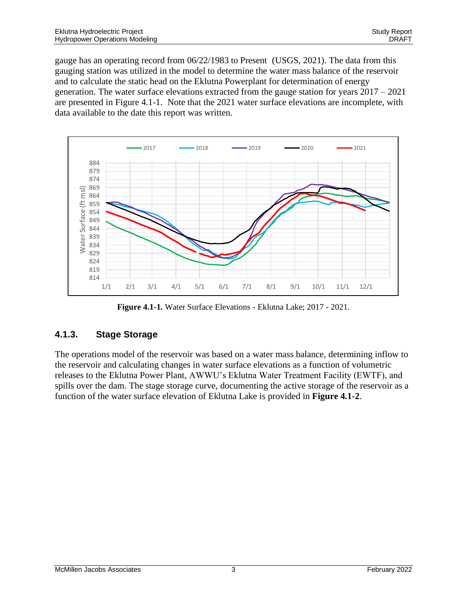gauge has an operating record from 06/22/1983 to Present (USGS, 2021). The data from this gauging station was utilized in the model to determine the water mass balance of the reservoir and to calculate the static head on the Eklutna Powerplant for determination of energy generation. The water surface elevations extracted from the gauge station for years 2017 – 2021 are presented in Figure 4.1-1. Note that the 2021 water surface elevations are incomplete, with data available to the date this report was written.



**Figure 4.1-1.** Water Surface Elevations - Eklutna Lake; 2017 - 2021.

#### <span id="page-7-0"></span>**4.1.3. Stage Storage**

The operations model of the reservoir was based on a water mass balance, determining inflow to the reservoir and calculating changes in water surface elevations as a function of volumetric releases to the Eklutna Power Plant, AWWU's Eklutna Water Treatment Facility (EWTF), and spills over the dam. The stage storage curve, documenting the active storage of the reservoir as a function of the water surface elevation of Eklutna Lake is provided in **[Figure 4.1-2](#page-8-1)**.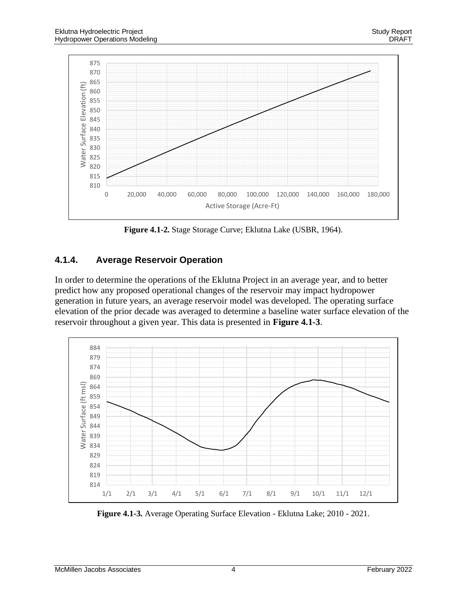

**Figure 4.1-2.** Stage Storage Curve; Eklutna Lake (USBR, 1964).

#### <span id="page-8-1"></span><span id="page-8-0"></span>**4.1.4. Average Reservoir Operation**

In order to determine the operations of the Eklutna Project in an average year, and to better predict how any proposed operational changes of the reservoir may impact hydropower generation in future years, an average reservoir model was developed. The operating surface elevation of the prior decade was averaged to determine a baseline water surface elevation of the reservoir throughout a given year. This data is presented in **[Figure 4.1-3](#page-8-2)**.



<span id="page-8-2"></span>**Figure 4.1-3.** Average Operating Surface Elevation - Eklutna Lake; 2010 - 2021.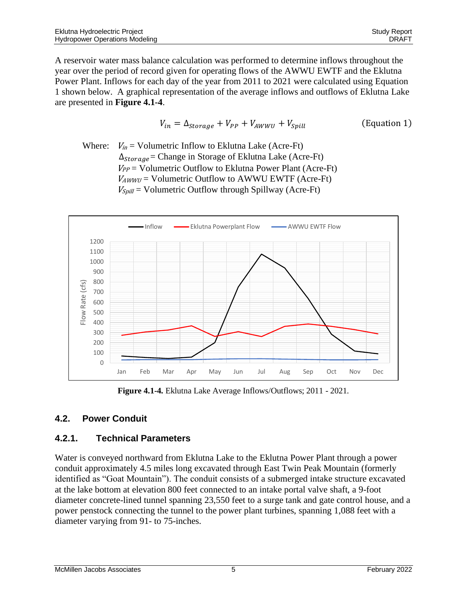A reservoir water mass balance calculation was performed to determine inflows throughout the year over the period of record given for operating flows of the AWWU EWTF and the Eklutna Power Plant. Inflows for each day of the year from 2011 to 2021 were calculated using Equation 1 shown below. A graphical representation of the average inflows and outflows of Eklutna Lake are presented in **[Figure 4.1-4](#page-9-2)**.

$$
V_{in} = \Delta_{Storage} + V_{PP} + V_{AWWU} + V_{Split}
$$
 (Equation 1)

Where:  $V_{in}$  = Volumetric Inflow to Eklutna Lake (Acre-Ft)  $\Delta_{Storage}$ = Change in Storage of Eklutna Lake (Acre-Ft)  $V_{PP}$  = Volumetric Outflow to Eklutna Power Plant (Acre-Ft)  $V_{AWWI}$  = Volumetric Outflow to AWWU EWTF (Acre-Ft)  $V_{\text{Snill}}$  = Volumetric Outflow through Spillway (Acre-Ft)



**Figure 4.1-4.** Eklutna Lake Average Inflows/Outflows; 2011 - 2021.

#### <span id="page-9-2"></span><span id="page-9-0"></span>**4.2. Power Conduit**

#### <span id="page-9-1"></span>**4.2.1. Technical Parameters**

Water is conveyed northward from Eklutna Lake to the Eklutna Power Plant through a power conduit approximately 4.5 miles long excavated through East Twin Peak Mountain (formerly identified as "Goat Mountain"). The conduit consists of a submerged intake structure excavated at the lake bottom at elevation 800 feet connected to an intake portal valve shaft, a 9-foot diameter concrete-lined tunnel spanning 23,550 feet to a surge tank and gate control house, and a power penstock connecting the tunnel to the power plant turbines, spanning 1,088 feet with a diameter varying from 91- to 75-inches.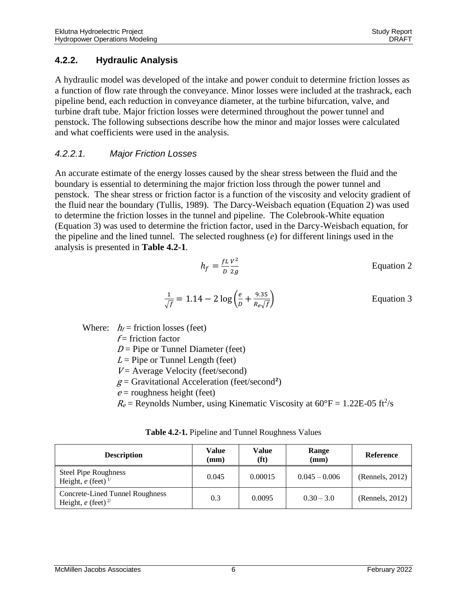#### <span id="page-10-0"></span>**4.2.2. Hydraulic Analysis**

A hydraulic model was developed of the intake and power conduit to determine friction losses as a function of flow rate through the conveyance. Minor losses were included at the trashrack, each pipeline bend, each reduction in conveyance diameter, at the turbine bifurcation, valve, and turbine draft tube. Major friction losses were determined throughout the power tunnel and penstock. The following subsections describe how the minor and major losses were calculated and what coefficients were used in the analysis.

#### *4.2.2.1. Major Friction Losses*

An accurate estimate of the energy losses caused by the shear stress between the fluid and the boundary is essential to determining the major friction loss through the power tunnel and penstock. The shear stress or friction factor is a function of the viscosity and velocity gradient of the fluid near the boundary (Tullis, 1989). The Darcy-Weisbach equation (Equation 2) was used to determine the friction losses in the tunnel and pipeline. The Colebrook-White equation (Equation 3) was used to determine the friction factor, used in the Darcy-Weisbach equation, for the pipeline and the lined tunnel. The selected roughness (*e*) for different linings used in the analysis is presented in **[Table 4.2-1](#page-10-1)**.

$$
h_f = \frac{fL V^2}{D 2g}
$$
 Equation 2

$$
\frac{1}{\sqrt{f}} = 1.14 - 2\log\left(\frac{e}{D} + \frac{9.35}{R_e\sqrt{f}}\right)
$$
 Equation 3

Where:  $h_f$  = friction losses (feet)

 $f =$  friction factor

 $D =$  Pipe or Tunnel Diameter (feet)

- $L =$  Pipe or Tunnel Length (feet)
- $V =$  Average Velocity (feet/second)
- $g =$  Gravitational Acceleration (feet/second<sup>2</sup>)
- $e$  = roughness height (feet)

 $R_e$  = Reynolds Number, using Kinematic Viscosity at  $60^\circ$ F = 1.22E-05 ft<sup>2</sup>/s

<span id="page-10-1"></span>

| <b>Description</b>                                                       | Value<br>(mm) | <b>Value</b><br>(f <sup>t</sup> ) | Range<br>(mm)   | Reference       |
|--------------------------------------------------------------------------|---------------|-----------------------------------|-----------------|-----------------|
| <b>Steel Pipe Roughness</b><br>Height, e (feet) $\frac{1}{2}$            | 0.045         | 0.00015                           | $0.045 - 0.006$ | (Rennels, 2012) |
| <b>Concrete-Lined Tunnel Roughness</b><br>Height, e (feet) <sup>2/</sup> | 0.3           | 0.0095                            | $0.30 - 3.0$    | (Rennels, 2012) |

**Table 4.2-1.** Pipeline and Tunnel Roughness Values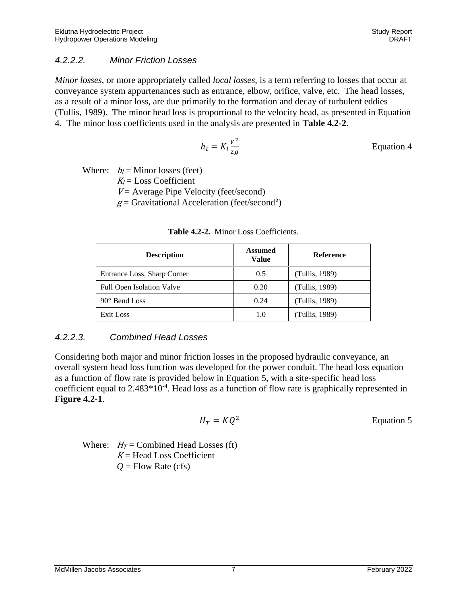#### *4.2.2.2. Minor Friction Losses*

*Minor losses*, or more appropriately called *local losses*, is a term referring to losses that occur at conveyance system appurtenances such as entrance, elbow, orifice, valve, etc. The head losses, as a result of a minor loss, are due primarily to the formation and decay of turbulent eddies (Tullis, 1989). The minor head loss is proportional to the velocity head, as presented in Equation 4. The minor loss coefficients used in the analysis are presented in **[Table 4.2-2](#page-11-0)**.

$$
h_l = K_l \frac{v^2}{2g} \qquad \qquad \text{Equation 4}
$$

Where:  $h_l$  = Minor losses (feet)

 $K_l$  = Loss Coefficient

 $V =$  Average Pipe Velocity (feet/second)

 $g =$  Gravitational Acceleration (feet/second<sup>2</sup>)

<span id="page-11-0"></span>

| <b>Description</b>               | <b>Assumed</b><br><b>Value</b> | <b>Reference</b> |
|----------------------------------|--------------------------------|------------------|
| Entrance Loss, Sharp Corner      | 0.5                            | (Tullis, 1989)   |
| <b>Full Open Isolation Valve</b> | 0.20                           | (Tullis, 1989)   |
| $90^\circ$ Bend Loss             | 0.24                           | (Tullis, 1989)   |
| Exit Loss                        | 1.0                            | (Tullis, 1989)   |

**Table 4.2-2.** Minor Loss Coefficients.

#### *4.2.2.3. Combined Head Losses*

Considering both major and minor friction losses in the proposed hydraulic conveyance, an overall system head loss function was developed for the power conduit. The head loss equation as a function of flow rate is provided below in Equation 5, with a site-specific head loss coefficient equal to  $2.483*10<sup>-4</sup>$ . Head loss as a function of flow rate is graphically represented in **[Figure 4.2-1](#page-12-0)**.

$$
H_T = KQ^2
$$
 Equation 5

Where:  $H_T =$  Combined Head Losses (ft)  $K =$  Head Loss Coefficient  $Q =$  Flow Rate (cfs)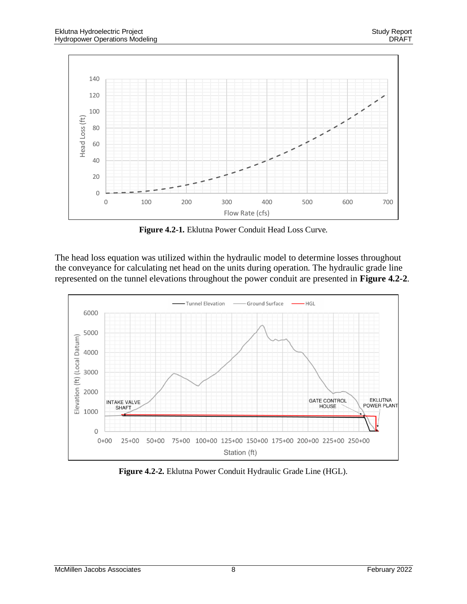

**Figure 4.2-1.** Eklutna Power Conduit Head Loss Curve.

<span id="page-12-0"></span>The head loss equation was utilized within the hydraulic model to determine losses throughout the conveyance for calculating net head on the units during operation. The hydraulic grade line represented on the tunnel elevations throughout the power conduit are presented in **[Figure 4.2-2](#page-12-1)**.



<span id="page-12-1"></span>**Figure 4.2-2.** Eklutna Power Conduit Hydraulic Grade Line (HGL).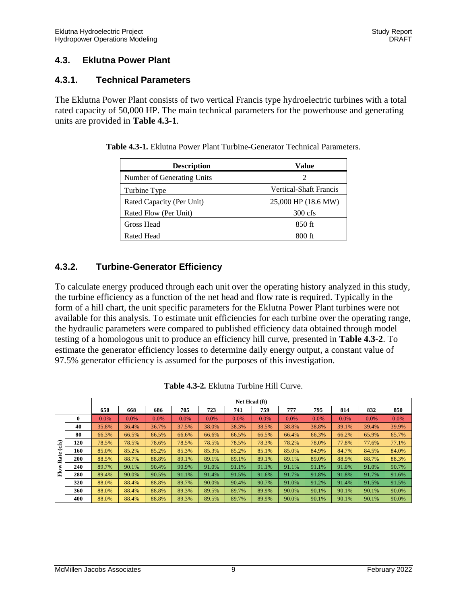#### <span id="page-13-0"></span>**4.3. Eklutna Power Plant**

#### <span id="page-13-1"></span>**4.3.1. Technical Parameters**

<span id="page-13-3"></span>The Eklutna Power Plant consists of two vertical Francis type hydroelectric turbines with a total rated capacity of 50,000 HP. The main technical parameters for the powerhouse and generating units are provided in **[Table 4.3-1](#page-13-3)**.

| <b>Description</b>         | Value                         |
|----------------------------|-------------------------------|
| Number of Generating Units |                               |
| Turbine Type               | <b>Vertical-Shaft Francis</b> |
| Rated Capacity (Per Unit)  | 25,000 HP (18.6 MW)           |
| Rated Flow (Per Unit)      | $300 \text{ cfs}$             |
| Gross Head                 | $850$ ft                      |
| Rated Head                 | $800$ ft                      |

**Table 4.3-1.** Eklutna Power Plant Turbine-Generator Technical Parameters.

#### <span id="page-13-2"></span>**4.3.2. Turbine-Generator Efficiency**

To calculate energy produced through each unit over the operating history analyzed in this study, the turbine efficiency as a function of the net head and flow rate is required. Typically in the form of a hill chart, the unit specific parameters for the Eklutna Power Plant turbines were not available for this analysis. To estimate unit efficiencies for each turbine over the operating range, the hydraulic parameters were compared to published efficiency data obtained through model testing of a homologous unit to produce an efficiency hill curve, presented in **[Table 4.3-2](#page-13-4)**. To estimate the generator efficiency losses to determine daily energy output, a constant value of 97.5% generator efficiency is assumed for the purposes of this investigation.

<span id="page-13-4"></span>

|                             | 1000 R<br>$\blacksquare$ . Dividulu Tulbino Tilli Cul To. |       |               |       |       |       |         |       |         |       |       |         |       |
|-----------------------------|-----------------------------------------------------------|-------|---------------|-------|-------|-------|---------|-------|---------|-------|-------|---------|-------|
|                             |                                                           |       | Net Head (ft) |       |       |       |         |       |         |       |       |         |       |
|                             |                                                           | 650   | 668           | 686   | 705   | 723   | 741     | 759   | 777     | 795   | 814   | 832     | 850   |
|                             | $\mathbf{0}$                                              | 0.0%  | $0.0\%$       | 0.0%  | 0.0%  | 0.0%  | $0.0\%$ | 0.0%  | $0.0\%$ | 0.0%  | 0.0%  | $0.0\%$ | 0.0%  |
|                             | 40                                                        | 35.8% | 36.4%         | 36.7% | 37.5% | 38.0% | 38.3%   | 38.5% | 38.8%   | 38.8% | 39.1% | 39.4%   | 39.9% |
|                             | 80                                                        | 66.3% | 66.5%         | 66.5% | 66.6% | 66.6% | 66.5%   | 66.5% | 66.4%   | 66.3% | 66.2% | 65.9%   | 65.7% |
| $\overline{\textbf{(cfs)}}$ | 120                                                       | 78.5% | 78.5%         | 78.6% | 78.5% | 78.5% | 78.5%   | 78.3% | 78.2%   | 78.0% | 77.8% | 77.6%   | 77.1% |
|                             | 160                                                       | 85.0% | 85.2%         | 85.2% | 85.3% | 85.3% | 85.2%   | 85.1% | 85.0%   | 84.9% | 84.7% | 84.5%   | 84.0% |
| Rate                        | 200                                                       | 88.5% | 88.7%         | 88.8% | 89.1% | 89.1% | 89.1%   | 89.1% | 89.1%   | 89.0% | 88.9% | 88.7%   | 88.3% |
| $\overline{\text{Flow}}$    | 240                                                       | 89.7% | 90.1%         | 90.4% | 90.9% | 91.0% | 91.1%   | 91.1% | 91.1%   | 91.1% | 91.0% | 91.0%   | 90.7% |
|                             | 280                                                       | 89.4% | 90.0%         | 90.5% | 91.1% | 91.4% | 91.5%   | 91.6% | 91.7%   | 91.8% | 91.8% | 91.7%   | 91.6% |
|                             | 320                                                       | 88.0% | 88.4%         | 88.8% | 89.7% | 90.0% | 90.4%   | 90.7% | 91.0%   | 91.2% | 91.4% | 91.5%   | 91.5% |
|                             | 360                                                       | 88.0% | 88.4%         | 88.8% | 89.3% | 89.5% | 89.7%   | 89.9% | 90.0%   | 90.1% | 90.1% | 90.1%   | 90.0% |
|                             | 400                                                       | 88.0% | 88.4%         | 88.8% | 89.3% | 89.5% | 89.7%   | 89.9% | 90.0%   | 90.1% | 90.1% | 90.1%   | 90.0% |

**Table 4.3-2.** Eklutna Turbine Hill Curve.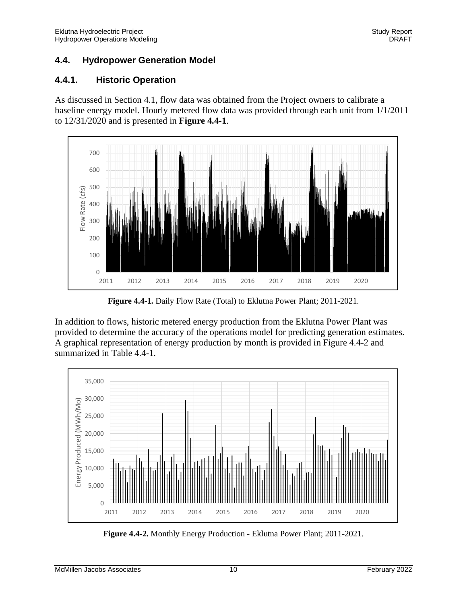#### <span id="page-14-0"></span>**4.4. Hydropower Generation Model**

#### <span id="page-14-1"></span>**4.4.1. Historic Operation**

As discussed in Section [4.1,](#page-6-2) flow data was obtained from the Project owners to calibrate a baseline energy model. Hourly metered flow data was provided through each unit from 1/1/2011 to 12/31/2020 and is presented in **[Figure 4.4-1](#page-14-2)**.



**Figure 4.4-1.** Daily Flow Rate (Total) to Eklutna Power Plant; 2011-2021.

<span id="page-14-2"></span>In addition to flows, historic metered energy production from the Eklutna Power Plant was provided to determine the accuracy of the operations model for predicting generation estimates. A graphical representation of energy production by month is provided in [Figure 4.4-2](#page-14-3) and summarized in Table 4.4-1.



<span id="page-14-3"></span>**Figure 4.4-2.** Monthly Energy Production - Eklutna Power Plant; 2011-2021.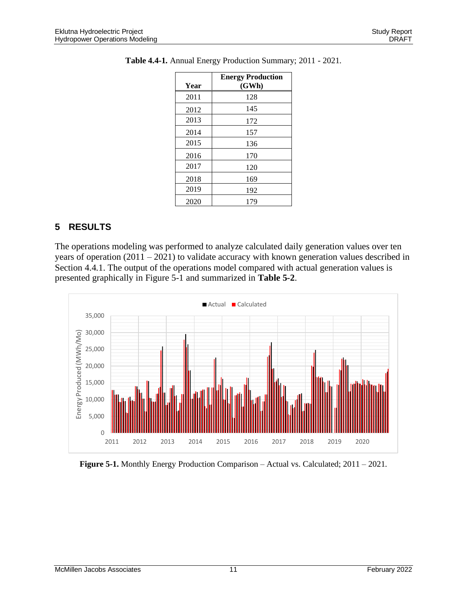| Year | <b>Energy Production</b><br>(GWh) |
|------|-----------------------------------|
| 2011 | 128                               |
| 2012 | 145                               |
| 2013 | 172                               |
| 2014 | 157                               |
| 2015 | 136                               |
| 2016 | 170                               |
| 2017 | 120                               |
| 2018 | 169                               |
| 2019 | 192                               |
| 2020 | 179                               |

**Table 4.4-1.** Annual Energy Production Summary; 2011 - 2021.

#### **5 RESULTS**

The operations modeling was performed to analyze calculated daily generation values over ten years of operation (2011 – 2021) to validate accuracy with known generation values described in Section [4.4.1.](#page-14-1) The output of the operations model compared with actual generation values is presented graphically in Figure 5-1 and summarized in **[Table 5-2](#page-16-3)**.



**Figure 5-1.** Monthly Energy Production Comparison – Actual vs. Calculated; 2011 – 2021.